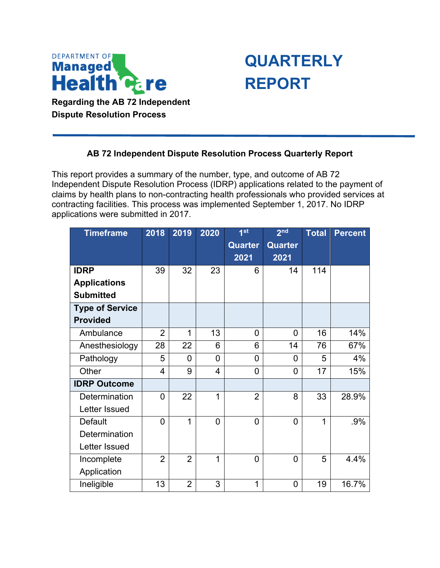

**Dispute Resolution Process**

## **QUARTERLY REPORT**

## **AB 72 Independent Dispute Resolution Process Quarterly Report**

This report provides a summary of the number, type, and outcome of AB 72 Independent Dispute Resolution Process (IDRP) applications related to the payment of claims by health plans to non-contracting health professionals who provided services at contracting facilities. This process was implemented September 1, 2017. No IDRP applications were submitted in 2017.

| <b>Timeframe</b>       | 2018           | 2019           | 2020           | 1 <sup>st</sup> | 2 <sub>nd</sub> | <b>Total</b> | <b>Percent</b> |
|------------------------|----------------|----------------|----------------|-----------------|-----------------|--------------|----------------|
|                        |                |                |                | <b>Quarter</b>  | <b>Quarter</b>  |              |                |
|                        |                |                |                | 2021            | 2021            |              |                |
| <b>IDRP</b>            | 39             | 32             | 23             | 6               | 14              | 114          |                |
| <b>Applications</b>    |                |                |                |                 |                 |              |                |
| <b>Submitted</b>       |                |                |                |                 |                 |              |                |
| <b>Type of Service</b> |                |                |                |                 |                 |              |                |
| <b>Provided</b>        |                |                |                |                 |                 |              |                |
| Ambulance              | $\overline{2}$ | 1              | 13             | 0               | 0               | 16           | 14%            |
| Anesthesiology         | 28             | 22             | 6              | 6               | 14              | 76           | 67%            |
| Pathology              | 5              | 0              | $\overline{0}$ | 0               | $\overline{0}$  | 5            | 4%             |
| Other                  | 4              | 9              | 4              | $\overline{0}$  | $\overline{0}$  | 17           | 15%            |
| <b>IDRP Outcome</b>    |                |                |                |                 |                 |              |                |
| Determination          | $\overline{0}$ | 22             | 1              | $\overline{2}$  | 8               | 33           | 28.9%          |
| Letter Issued          |                |                |                |                 |                 |              |                |
| <b>Default</b>         | $\overline{0}$ | $\overline{1}$ | $\overline{0}$ | $\overline{0}$  | $\overline{0}$  | 1            | .9%            |
| Determination          |                |                |                |                 |                 |              |                |
| Letter Issued          |                |                |                |                 |                 |              |                |
| Incomplete             | $\overline{2}$ | $\overline{2}$ | 1              | $\overline{0}$  | 0               | 5            | 4.4%           |
| Application            |                |                |                |                 |                 |              |                |
| Ineligible             | 13             | $\overline{2}$ | 3              | $\mathbf{1}$    | 0               | 19           | 16.7%          |